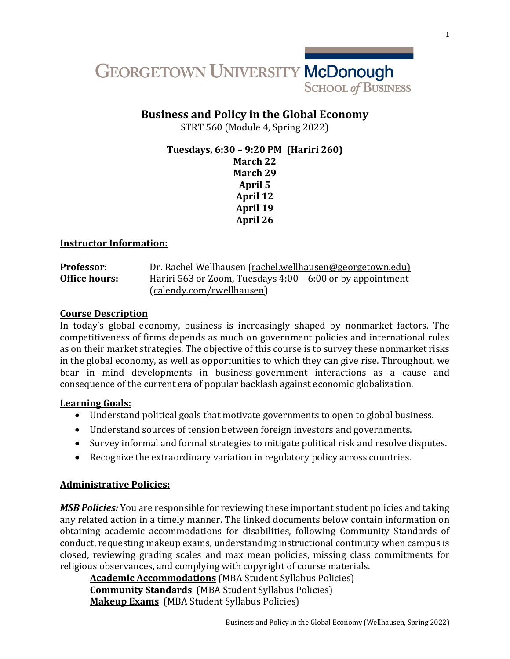

# **Business and Policy in the Global Economy**

STRT 560 (Module 4, Spring 2022)

**Tuesdays, 6:30 – 9:20 PM (Hariri 260) March 22 March 29 April 5 April 12 April 19 April 26**

#### **Instructor Information:**

| <b>Professor:</b> | Dr. Rachel Wellhausen (rachel.wellhausen@georgetown.edu)     |
|-------------------|--------------------------------------------------------------|
| Office hours:     | Hariri 563 or Zoom, Tuesdays $4:00 - 6:00$ or by appointment |
|                   | (calendy.com/rwellhausen)                                    |

#### **Course Description**

In today's global economy, business is increasingly shaped by nonmarket factors. The competitiveness of firms depends as much on government policies and international rules as on their market strategies. The objective of this course is to survey these nonmarket risks in the global economy, as well as opportunities to which they can give rise. Throughout, we bear in mind developments in business-government interactions as a cause and consequence of the current era of popular backlash against economic globalization.

#### **Learning Goals:**

- Understand political goals that motivate governments to open to global business.
- Understand sources of tension between foreign investors and governments.
- Survey informal and formal strategies to mitigate political risk and resolve disputes.
- Recognize the extraordinary variation in regulatory policy across countries.

### **Administrative Policies:**

**MSB Policies:** You are responsible for reviewing these important student policies and taking any related action in a timely manner. The linked documents below contain information on obtaining academic accommodations for disabilities, following Community Standards of conduct, requesting makeup exams, understanding instructional continuity when campus is closed, reviewing grading scales and max mean policies, missing class commitments for religious observances, and complying with copyright of course materials.

**Academic Accommodations** (MBA Student Syllabus Policies) **Community Standards** (MBA Student Syllabus Policies) **Makeup Exams** (MBA Student Syllabus Policies)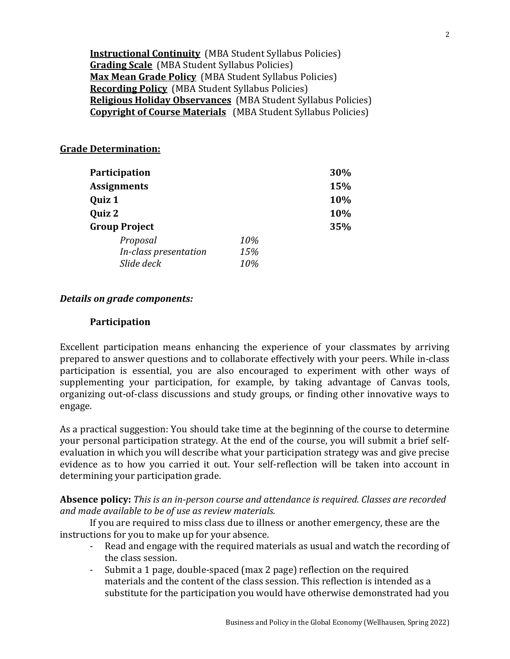**Instructional Continuity** (MBA Student Syllabus Policies) **Grading Scale** (MBA Student Syllabus Policies) **Max Mean Grade Policy** (MBA Student Syllabus Policies) **Recording Policy** (MBA Student Syllabus Policies) **Religious Holiday Observances** (MBA Student Syllabus Policies) **Copyright of Course Materials** (MBA Student Syllabus Policies)

### **Grade Determination:**

| Participation         | 30% |     |
|-----------------------|-----|-----|
| <b>Assignments</b>    | 15% |     |
| Quiz 1                | 10% |     |
| Quiz 2                | 10% |     |
| <b>Group Project</b>  |     | 35% |
| Proposal              | 10% |     |
| In-class presentation | 15% |     |
| Slide deck            | 10% |     |

#### *Details* on grade components:

#### **Participation**

Excellent participation means enhancing the experience of your classmates by arriving prepared to answer questions and to collaborate effectively with your peers. While in-class participation is essential, you are also encouraged to experiment with other ways of supplementing your participation, for example, by taking advantage of Canvas tools, organizing out-of-class discussions and study groups, or finding other innovative ways to engage. 

As a practical suggestion: You should take time at the beginning of the course to determine your personal participation strategy. At the end of the course, you will submit a brief selfevaluation in which you will describe what your participation strategy was and give precise evidence as to how you carried it out. Your self-reflection will be taken into account in determining your participation grade.

**Absence policy:** *This is an in-person course and attendance is required. Classes are recorded* and made available to be of use as review materials.

If you are required to miss class due to illness or another emergency, these are the instructions for you to make up for your absence.

- Read and engage with the required materials as usual and watch the recording of the class session.
- Submit a 1 page, double-spaced (max 2 page) reflection on the required materials and the content of the class session. This reflection is intended as a substitute for the participation you would have otherwise demonstrated had you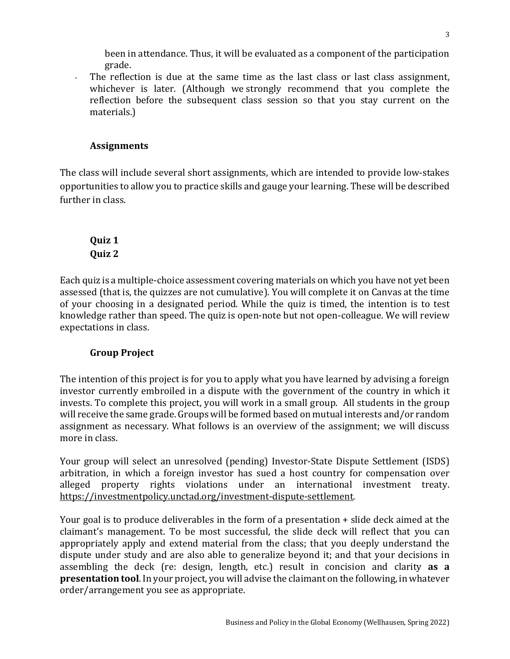been in attendance. Thus, it will be evaluated as a component of the participation grade.

The reflection is due at the same time as the last class or last class assignment, whichever is later. (Although we strongly recommend that you complete the reflection before the subsequent class session so that you stay current on the materials.)

# **Assignments**

The class will include several short assignments, which are intended to provide low-stakes opportunities to allow you to practice skills and gauge your learning. These will be described further in class.

**Quiz 1 Quiz 2**

Each quiz is a multiple-choice assessment covering materials on which you have not yet been assessed (that is, the quizzes are not cumulative). You will complete it on Canvas at the time of your choosing in a designated period. While the quiz is timed, the intention is to test knowledge rather than speed. The quiz is open-note but not open-colleague. We will review expectations in class.

# **Group Project**

The intention of this project is for you to apply what you have learned by advising a foreign investor currently embroiled in a dispute with the government of the country in which it invests. To complete this project, you will work in a small group. All students in the group will receive the same grade. Groups will be formed based on mutual interests and/or random assignment as necessary. What follows is an overview of the assignment; we will discuss more in class.

Your group will select an unresolved (pending) Investor-State Dispute Settlement (ISDS) arbitration, in which a foreign investor has sued a host country for compensation over alleged property rights violations under an international investment treaty. https://investmentpolicy.unctad.org/investment-dispute-settlement.

Your goal is to produce deliverables in the form of a presentation  $+$  slide deck aimed at the claimant's management. To be most successful, the slide deck will reflect that you can appropriately apply and extend material from the class; that you deeply understand the dispute under study and are also able to generalize beyond it; and that your decisions in assembling the deck (re: design, length, etc.) result in concision and clarity as a **presentation tool**. In your project, you will advise the claimant on the following, in whatever order/arrangement you see as appropriate.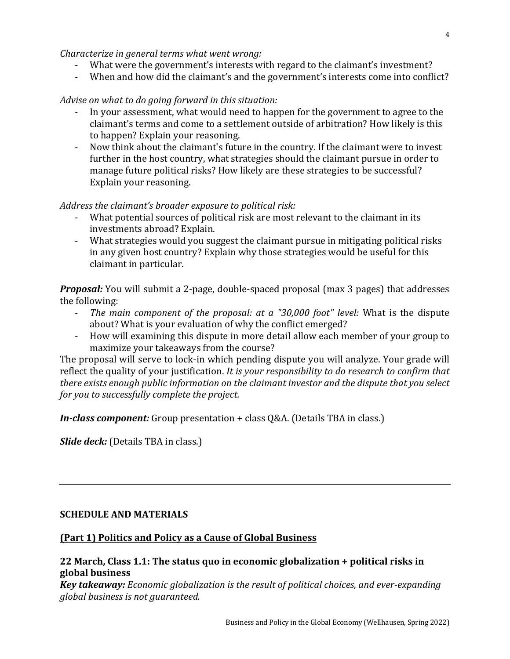*Characterize in general terms what went wrong:* 

- What were the government's interests with regard to the claimant's investment?
- When and how did the claimant's and the government's interests come into conflict?

### *Advise on what to do going forward in this situation:*

- In your assessment, what would need to happen for the government to agree to the claimant's terms and come to a settlement outside of arbitration? How likely is this to happen? Explain your reasoning.
- Now think about the claimant's future in the country. If the claimant were to invest further in the host country, what strategies should the claimant pursue in order to manage future political risks? How likely are these strategies to be successful? Explain your reasoning.

### Address the claimant's broader exposure to political risk:

- What potential sources of political risk are most relevant to the claimant in its investments abroad? Explain.
- What strategies would you suggest the claimant pursue in mitigating political risks in any given host country? Explain why those strategies would be useful for this claimant in particular.

*Proposal:* You will submit a 2-page, double-spaced proposal (max 3 pages) that addresses the following:

- *The main component of the proposal: at a "30,000 foot" level:* What is the dispute about? What is your evaluation of why the conflict emerged?
- How will examining this dispute in more detail allow each member of your group to maximize your takeaways from the course?

The proposal will serve to lock-in which pending dispute you will analyze. Your grade will reflect the quality of your justification. *It is your responsibility to do research to confirm that there exists enough public information on the claimant investor and the dispute that you select for you to successfully complete the project.* 

*In-class component:* Group presentation + class Q&A. (Details TBA in class.)

*Slide deck:* (Details TBA in class.)

### **SCHEDULE AND MATERIALS**

### **(Part 1) Politics and Policy as a Cause of Global Business**

# **22 March, Class 1.1: The status quo in economic globalization + political risks in global business**

*Key takeaway: Economic globalization is the result of political choices, and ever-expanding global business is not guaranteed.*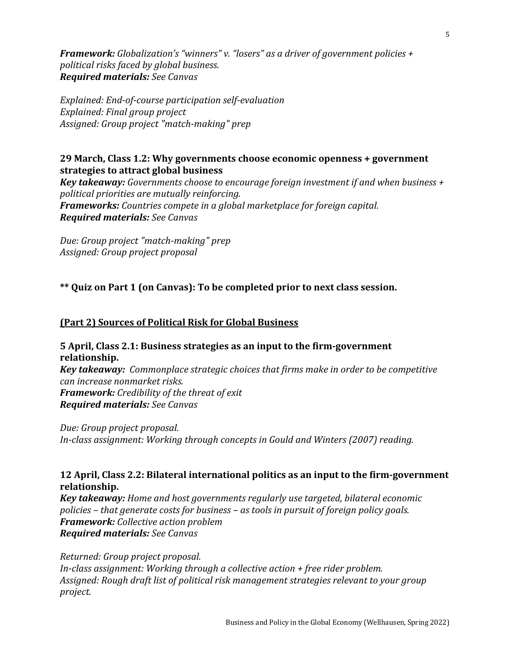*Framework: Globalization's "winners" v. "losers" as a driver of government policies + political risks faced by global business. Required materials: See Canvas*

*Explained: End-of-course participation self-evaluation Explained: Final group project Assigned: Group project "match-making" prep*

## **29 March, Class 1.2: Why governments choose economic openness + government strategies to attract global business**

*Key takeaway: Governments choose to encourage foreign investment if and when business* + *political priorities are mutually reinforcing. Frameworks: Countries compete in a global marketplace for foreign capital. Required materials: See Canvas*

*Due: Group project "match-making" prep Assigned: Group project proposal*

**\*\*** Quiz on Part 1 (on Canvas): To be completed prior to next class session.

# **(Part 2) Sources of Political Risk for Global Business**

**5** April, Class 2.1: Business strategies as an input to the firm-government **relationship.**  *Key takeaway: Commonplace strategic choices that firms make in order to be competitive can increase nonmarket risks.* **Framework:** Credibility of the threat of exit *Required materials: See Canvas*

*Due: Group project proposal. In-class assignment: Working through concepts in Gould and Winters (2007) reading.* 

# **12 April, Class 2.2: Bilateral international politics as an input to the firm-government relationship.**

*Key takeaway: Home and host governments regularly use targeted, bilateral economic policies* – *that generate costs for business* – *as tools in pursuit of foreign policy goals. Framework: Collective action problem Required materials: See Canvas*

*Returned: Group project proposal. In-class assignment: Working through a collective action + free rider problem.* Assigned: Rough draft list of political risk management strategies relevant to your group *project.*